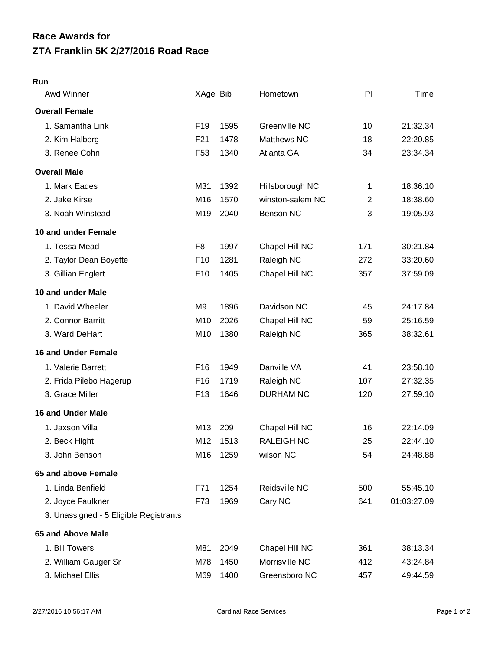## **ZTA Franklin 5K 2/27/2016 Road Race Race Awards for**

## **Run**

| Awd Winner                             | XAge Bib        |      | Hometown          | PI             | Time        |
|----------------------------------------|-----------------|------|-------------------|----------------|-------------|
| <b>Overall Female</b>                  |                 |      |                   |                |             |
| 1. Samantha Link                       | F <sub>19</sub> | 1595 | Greenville NC     | 10             | 21:32.34    |
| 2. Kim Halberg                         | F <sub>21</sub> | 1478 | Matthews NC       | 18             | 22:20.85    |
| 3. Renee Cohn                          | F <sub>53</sub> | 1340 | Atlanta GA        | 34             | 23:34.34    |
| <b>Overall Male</b>                    |                 |      |                   |                |             |
| 1. Mark Eades                          | M31             | 1392 | Hillsborough NC   | 1              | 18:36.10    |
| 2. Jake Kirse                          | M16             | 1570 | winston-salem NC  | $\overline{2}$ | 18:38.60    |
| 3. Noah Winstead                       | M19             | 2040 | <b>Benson NC</b>  | 3              | 19:05.93    |
| 10 and under Female                    |                 |      |                   |                |             |
| 1. Tessa Mead                          | F <sub>8</sub>  | 1997 | Chapel Hill NC    | 171            | 30:21.84    |
| 2. Taylor Dean Boyette                 | F <sub>10</sub> | 1281 | Raleigh NC        | 272            | 33:20.60    |
| 3. Gillian Englert                     | F <sub>10</sub> | 1405 | Chapel Hill NC    | 357            | 37:59.09    |
| 10 and under Male                      |                 |      |                   |                |             |
| 1. David Wheeler                       | M <sub>9</sub>  | 1896 | Davidson NC       | 45             | 24:17.84    |
| 2. Connor Barritt                      | M10             | 2026 | Chapel Hill NC    | 59             | 25:16.59    |
| 3. Ward DeHart                         | M10             | 1380 | Raleigh NC        | 365            | 38:32.61    |
| <b>16 and Under Female</b>             |                 |      |                   |                |             |
| 1. Valerie Barrett                     | F <sub>16</sub> | 1949 | Danville VA       | 41             | 23:58.10    |
| 2. Frida Pilebo Hagerup                | F <sub>16</sub> | 1719 | Raleigh NC        | 107            | 27:32.35    |
| 3. Grace Miller                        | F <sub>13</sub> | 1646 | <b>DURHAM NC</b>  | 120            | 27:59.10    |
| <b>16 and Under Male</b>               |                 |      |                   |                |             |
| 1. Jaxson Villa                        | M13             | 209  | Chapel Hill NC    | 16             | 22:14.09    |
| 2. Beck Hight                          | M12             | 1513 | <b>RALEIGH NC</b> | 25             | 22:44.10    |
| 3. John Benson                         | M16             | 1259 | wilson NC         | 54             | 24:48.88    |
| 65 and above Female                    |                 |      |                   |                |             |
| 1. Linda Benfield                      | F71             | 1254 | Reidsville NC     | 500            | 55:45.10    |
| 2. Joyce Faulkner                      | F73             | 1969 | Cary NC           | 641            | 01:03:27.09 |
| 3. Unassigned - 5 Eligible Registrants |                 |      |                   |                |             |
| 65 and Above Male                      |                 |      |                   |                |             |
| 1. Bill Towers                         | M81             | 2049 | Chapel Hill NC    | 361            | 38:13.34    |
| 2. William Gauger Sr                   | M78             | 1450 | Morrisville NC    | 412            | 43:24.84    |
| 3. Michael Ellis                       | M69             | 1400 | Greensboro NC     | 457            | 49:44.59    |